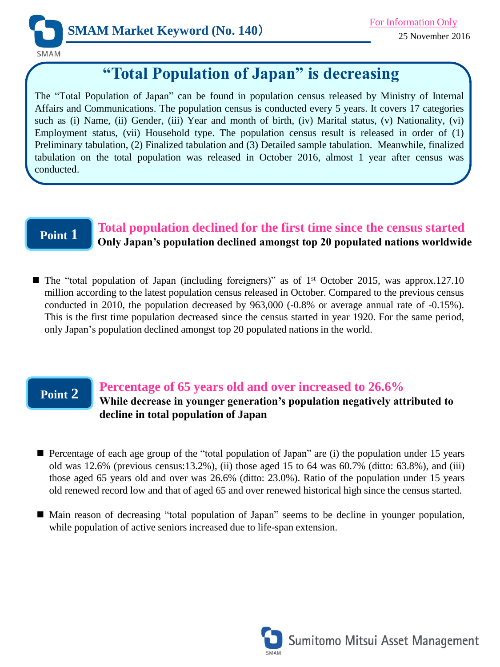

# **"Total Population of Japan" is decreasing**

The "Total Population of Japan" can be found in population census released by Ministry of Internal Affairs and Communications. The population census is conducted every 5 years. It covers 17 categories such as (i) Name, (ii) Gender, (iii) Year and month of birth, (iv) Marital status, (v) Nationality, (vi) Employment status, (vii) Household type. The population census result is released in order of (1) Preliminary tabulation, (2) Finalized tabulation and (3) Detailed sample tabulation. Meanwhile, finalized tabulation on the total population was released in October 2016, almost 1 year after census was conducted.

# **Point 1**

### **Total population declined for the first time since the census started Only Japan's population declined amongst top 20 populated nations worldwide**

■ The "total population of Japan (including foreigners)" as of 1<sup>st</sup> October 2015, was approx.127.10 million according to the latest population census released in October. Compared to the previous census conducted in 2010, the population decreased by 963,000 (-0.8% or average annual rate of -0.15%). This is the first time population decreased since the census started in year 1920. For the same period, only Japan's population declined amongst top 20 populated nations in the world.

### **Point 2**

#### **Percentage of 65 years old and over increased to 26.6%**

### **While decrease in younger generation's population negatively attributed to decline in total population of Japan**

- Percentage of each age group of the "total population of Japan" are (i) the population under 15 years old was  $12.6\%$  (previous census: 13.2%), (ii) those aged 15 to 64 was  $60.7\%$  (ditto: 63.8%), and (iii) those aged 65 years old and over was 26.6% (ditto: 23.0%). Ratio of the population under 15 years old renewed record low and that of aged 65 and over renewed historical high since the census started.
- Main reason of decreasing "total population of Japan" seems to be decline in younger population, while population of active seniors increased due to life-span extension.